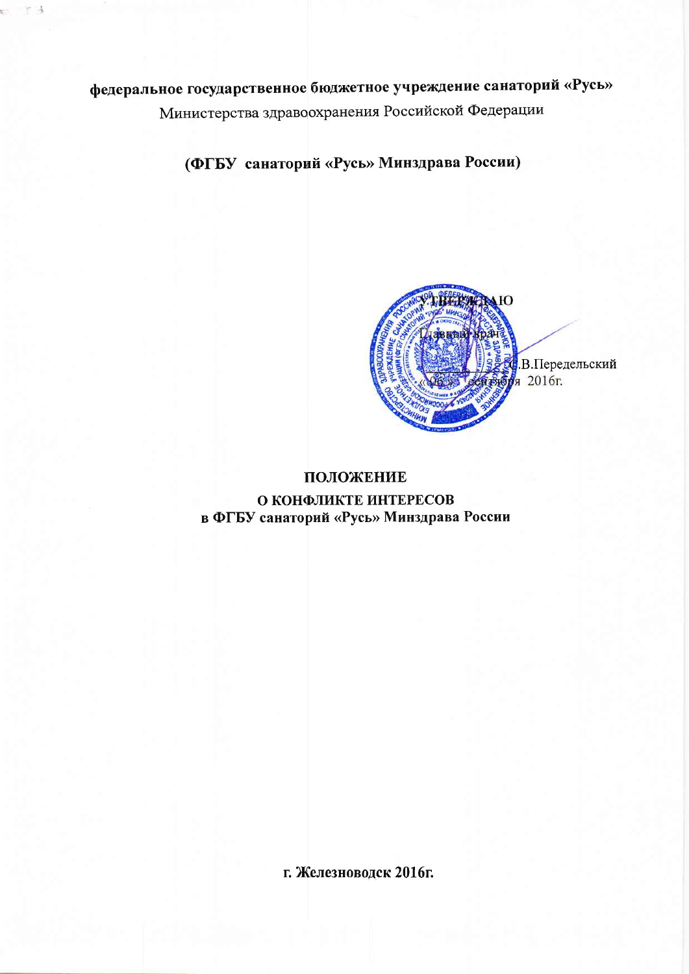федеральное государственное бюджетное учреждение санаторий «Русь» Министерства здравоохранения Российской Федерации

(ФГБУ санаторий «Русь» Минздрава России)



### ПОЛОЖЕНИЕ О КОНФЛИКТЕ ИНТЕРЕСОВ в ФГБУ санаторий «Русь» Минздрава России

г. Железноводск 2016г.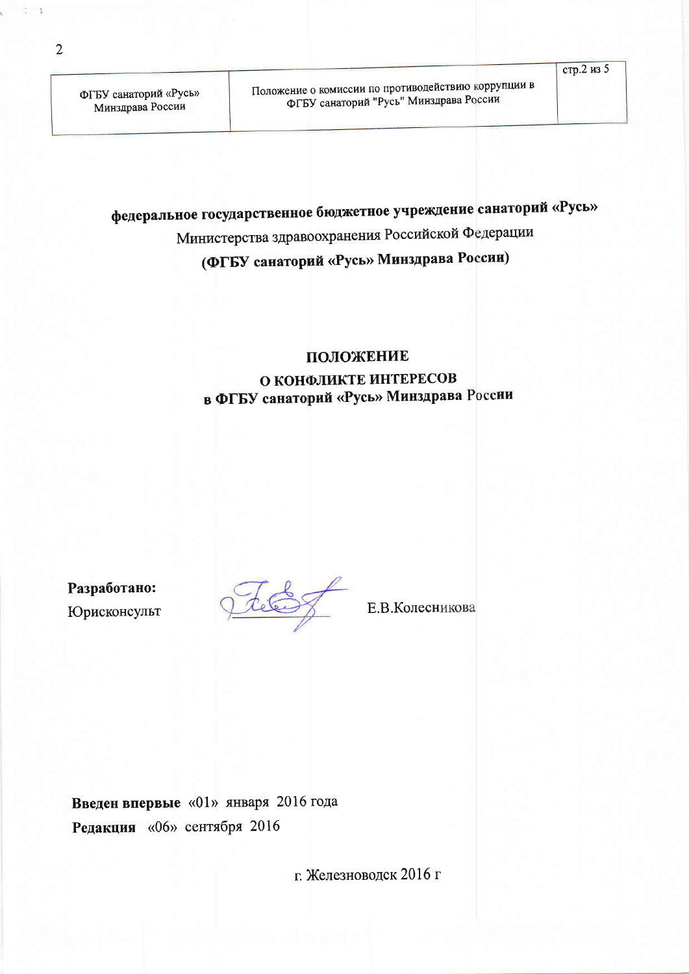# федеральное государственное бюджетное учреждение санаторий «Русь» Министерства здравоохранения Российской Федерации

# (ФГБУ санаторий «Русь» Минздрава России)

### ПОЛОЖЕНИЕ

### О КОНФЛИКТЕ ИНТЕРЕСОВ в ФГБУ санаторий «Русь» Минздрава России

Разработано: Юрисконсульт

tele

Е.В. Колесникова

Введен впервые «01» января 2016 года Редакция «06» сентября 2016

г. Железноводск 2016 г

 $\overline{2}$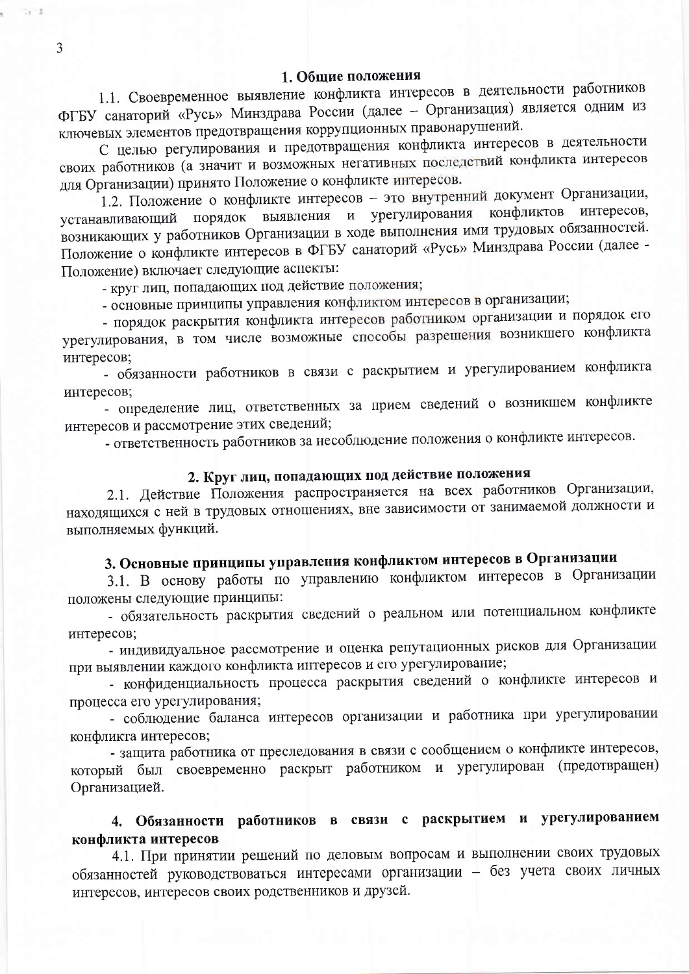1.1. Своевременное выявление конфликта интересов в деятельности работников ФГБУ санаторий «Русь» Минздрава России (далее - Организация) является одним из ключевых элементов предотвращения коррупционных правонарушений.

С целью регулирования и предотвращения конфликта интересов в деятельности своих работников (а значит и возможных негативных последствий конфликта интересов для Организации) принято Положение о конфликте интересов.

1.2. Положение о конфликте интересов - это внутренний документ Организации, конфликтов интересов, устанавливающий порядок выявления и урегулирования возникающих у работников Организации в ходе выполнения ими трудовых обязанностей. Положение о конфликте интересов в ФГБУ санаторий «Русь» Минздрава России (далее -Положение) включает следующие аспекты:

- круг лиц, попадающих под действие положения;

- основные принципы управления конфликтом интересов в организации;

- порядок раскрытия конфликта интересов работником организации и порядок его урегулирования, в том числе возможные способы разрешения возникшего конфликта интересов;

- обязанности работников в связи с раскрытием и урегулированием конфликта интересов;

- определение лиц, ответственных за прием сведений о возникшем конфликте интересов и рассмотрение этих сведений;

- ответственность работников за несоблюдение положения о конфликте интересов.

# 2. Круг лиц, попадающих под действие положения

2.1. Действие Положения распространяется на всех работников Организации, находящихся с ней в трудовых отношениях, вне зависимости от занимаемой должности и выполняемых функций.

# 3. Основные принципы управления конфликтом интересов в Организации

3.1. В основу работы по управлению конфликтом интересов в Организации положены следующие принципы:

- обязательность раскрытия сведений о реальном или потенциальном конфликте интересов;

- индивидуальное рассмотрение и оценка репутационных рисков для Организации при выявлении каждого конфликта интересов и его урегулирование;

- конфиденциальность процесса раскрытия сведений о конфликте интересов и процесса его урегулирования;

- соблюдение баланса интересов организации и работника при урегулировании конфликта интересов;

- защита работника от преследования в связи с сообщением о конфликте интересов, который был своевременно раскрыт работником и урегулирован (предотвращен) Организацией.

### 4. Обязанности работников в связи с раскрытием и урегулированием конфликта интересов

4.1. При принятии решений по деловым вопросам и выполнении своих трудовых обязанностей руководствоваться интересами организации - без учета своих личных интересов, интересов своих родственников и друзей.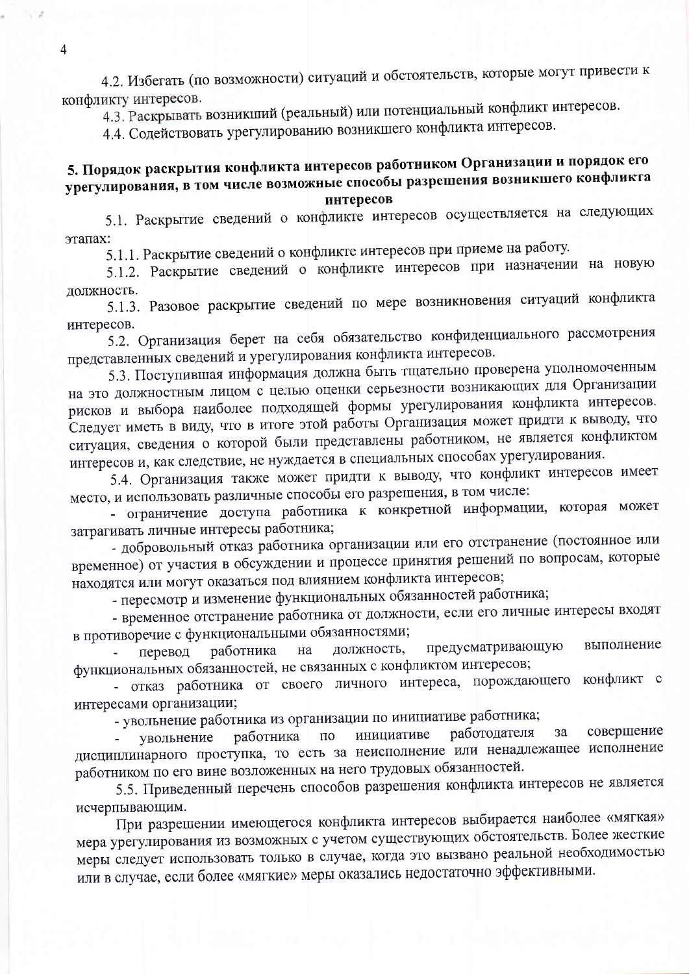4.2. Избегать (по возможности) ситуаций и обстоятельств, которые могут привести к конфликту интересов.

4.3. Раскрывать возникший (реальный) или потенциальный конфликт интересов.

4.4. Содействовать урегулированию возникшего конфликта интересов.

# 5. Порядок раскрытия конфликта интересов работником Организации и порядок его урегулирования, в том числе возможные способы разрешения возникшего конфликта

### интересов

5.1. Раскрытие сведений о конфликте интересов осуществляется на следующих этапах:

5.1.1. Раскрытие сведений о конфликте интересов при приеме на работу.

5.1.2. Раскрытие сведений о конфликте интересов при назначении на новую должность.

5.1.3. Разовое раскрытие сведений по мере возникновения ситуаций конфликта интересов.

5.2. Организация берет на себя обязательство конфиденциального рассмотрения представленных сведений и урегулирования конфликта интересов.

5.3. Поступившая информация должна быть тщательно проверена уполномоченным на это должностным лицом с целью оценки серьезности возникающих для Организации рисков и выбора наиболее подходящей формы урегулирования конфликта интересов. Следует иметь в виду, что в итоге этой работы Организация может придти к выводу, что ситуация, сведения о которой были представлены работником, не является конфликтом интересов и, как следствие, не нуждается в специальных способах урегулирования.

5.4. Организация также может придти к выводу, что конфликт интересов имеет место, и использовать различные способы его разрешения, в том числе:

- ограничение доступа работника к конкретной информации, которая может затрагивать личные интересы работника;

- добровольный отказ работника организации или его отстранение (постоянное или временное) от участия в обсуждении и процессе принятия решений по вопросам, которые находятся или могут оказаться под влиянием конфликта интересов;

- пересмотр и изменение функциональных обязанностей работника;

- временное отстранение работника от должности, если его личные интересы входят в противоречие с функциональными обязанностями;

предусматривающую выполнение должность, на перевод работника функциональных обязанностей, не связанных с конфликтом интересов;

- отказ работника от своего личного интереса, порождающего конфликт с интересами организации;

- увольнение работника из организации по инициативе работника;

совершение работодателя  $3a$ инициативе работника увольнение  $\overline{110}$ дисциплинарного проступка, то есть за неисполнение или ненадлежащее исполнение работником по его вине возложенных на него трудовых обязанностей.

5.5. Приведенный перечень способов разрешения конфликта интересов не является исчерпывающим.

При разрешении имеющегося конфликта интересов выбирается наиболее «мягкая» мера урегулирования из возможных с учетом существующих обстоятельств. Более жесткие меры следует использовать только в случае, когда это вызвано реальной необходимостью или в случае, если более «мягкие» меры оказались недостаточно эффективными.

 $\overline{4}$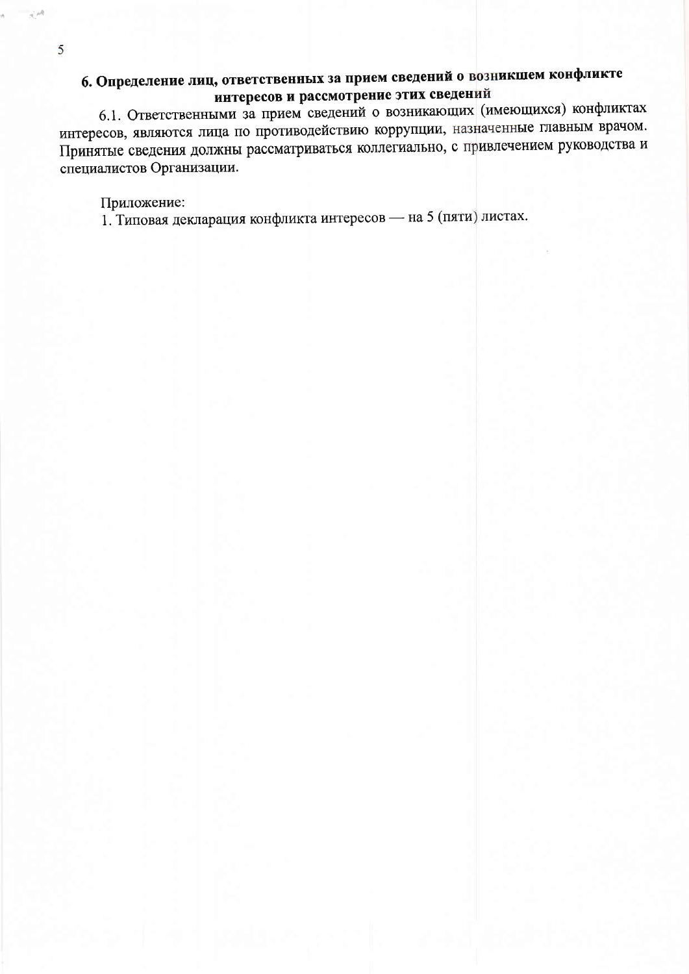# 6. Определение лиц, ответственных за прием сведений о возникшем конфликте интересов и рассмотрение этих сведений

6.1. Ответственными за прием сведений о возникающих (имеющихся) конфликтах интересов, являются лица по противодействию коррупции, назначенные главным врачом. Принятые сведения должны рассматриваться коллегиально, с привлечением руководства и специалистов Организации.

#### Приложение:

1. Типовая декларация конфликта интересов - на 5 (пяти) листах.

5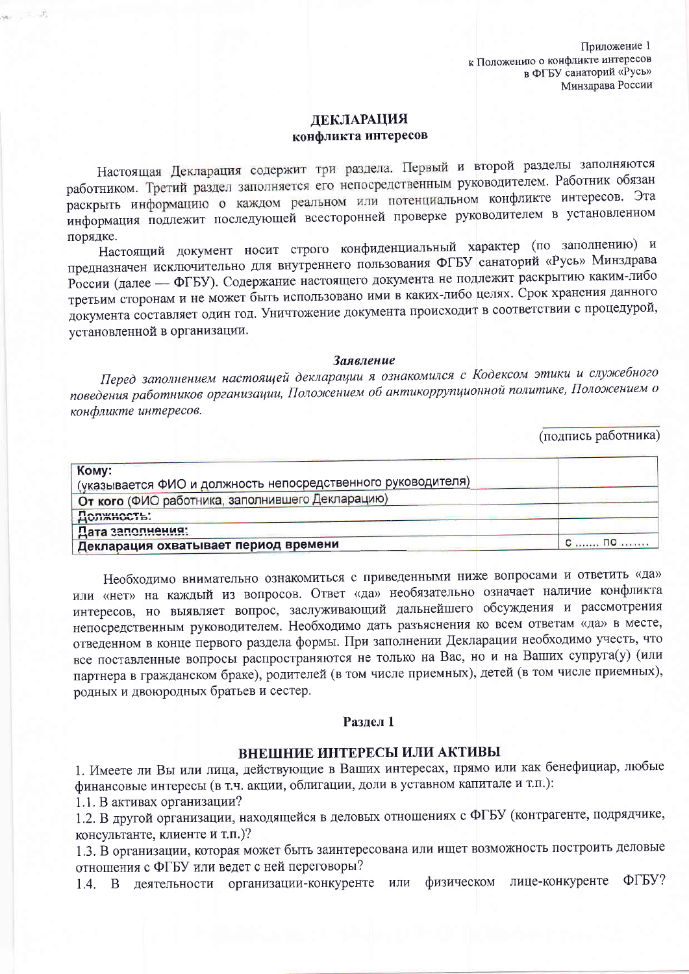#### **ДЕКЛАРАЦИЯ** конфликта интересов

Настоящая Декларация содержит три раздела. Первый и второй разделы заполняются работником. Третий раздел заполняется его непосредственным руководителем. Работник обязан раскрыть информацию о каждом реальном или потенциальном конфликте интересов. Эта информация подлежит последующей всесторонней проверке руководителем в установленном порядке.

Настоящий документ носит строго конфиденциальный характер (по заполнению) и предназначен исключительно для внутреннего пользования ФГБУ санаторий «Русь» Минздрава России (далее - ФГБУ). Содержание настоящего документа не подлежит раскрытию каким-либо третьим сторонам и не может быть использовано ими в каких-либо целях. Срок хранения данного документа составляет один год. Уничтожение документа происходит в соответствии с процедурой, установленной в организации.

#### Заявление

Перед заполнением настоящей декларации я ознакомился с Кодексом этики и служебного поведения работников организации, Положением об антикоррупционной политике, Положением о конфликте интересов.

(подпись работника)

| Кому:                                                        |          |
|--------------------------------------------------------------|----------|
| (указывается ФИО и должность непосредственного руководителя) |          |
| От кого (ФИО работника, заполнившего Декларацию)             |          |
| Должность:                                                   |          |
| Дата заполнения:                                             |          |
| Декларация охватывает период времени                         | $C$ $ID$ |

Необходимо внимательно ознакомиться с приведенными ниже вопросами и ответить «да» или «нет» на каждый из вопросов. Ответ «да» необязательно означает наличие конфликта интересов, но выявляет вопрос, заслуживающий дальнейшего обсуждения и рассмотрения непосредственным руководителем. Необходимо дать разъяснения ко всем ответам «да» в месте, отведенном в конце первого раздела формы. При заполнении Декларации необходимо учесть, что все поставленные вопросы распространяются не только на Вас, но и на Ваших супруга(у) (или партнера в гражданском браке), родителей (в том числе приемных), детей (в том числе приемных), родных и двоюродных братьев и сестер.

#### Разлел 1

#### ВНЕШНИЕ ИНТЕРЕСЫ ИЛИ АКТИВЫ

1. Имеете ли Вы или лица, действующие в Ваших интересах, прямо или как бенефициар, любые финансовые интересы (в т.ч. акции, облигации, доли в уставном капитале и т.п.):

1.1. В активах организации?

1.2. В другой организации, находящейся в деловых отношениях с ФГБУ (контрагенте, подрядчике, консультанте, клиенте и т.п.)?

1.3. В организации, которая может быть заинтересована или ищет возможность построить деловые отношения с ФГБУ или ведет с ней переговоры?

ФГБУ? деятельности организации-конкуренте или физическом лице-конкуренте  $14 \text{ B}$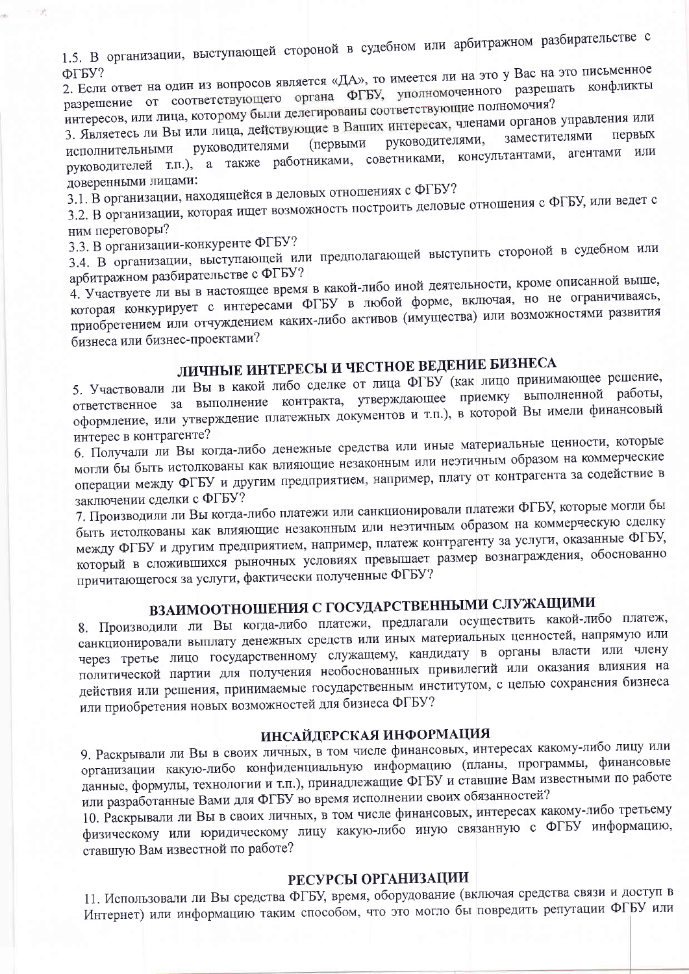1.5. В организации, выступающей стороной в судебном или арбитражном разбирательстве с

2. Если ответ на один из вопросов является «ДА», то имеется ли на это у Вас на это письменное разрешение от соответствующего органа ФГБУ, уполномоченного разрешать конфликты интересов, или лица, которому были делегированы соответствующие полномочия?

3. Являетесь ли Вы или лица, действующие в Ваших интересах, членами органов управления или заместителями руководителями, (первыми руководителями исполнительными руководителей т.п.), а также работниками, советниками, консультантами, агентами или доверенными лицами:

3.1. В организации, находящейся в деловых отношениях с ФГБУ?

3.2. В организации, которая ищет возможность построить деловые отношения с ФГБУ, или ведет с ним переговоры?

3.3. В организации-конкуренте ФГБУ?

3.4. В организации, выступающей или предполагающей выступить стороной в судебном или арбитражном разбирательстве с ФГБУ?

4. Участвуете ли вы в настоящее время в какой-либо иной деятельности, кроме описанной выше, которая конкурирует с интересами ФГБУ в любой форме, включая, но не ограничиваясь, приобретением или отчуждением каких-либо активов (имущества) или возможностями развития бизнеса или бизнес-проектами?

# ЛИЧНЫЕ ИНТЕРЕСЫ И ЧЕСТНОЕ ВЕДЕНИЕ БИЗНЕСА

5. Участвовали ли Вы в какой либо сделке от лица ФГБУ (как лицо принимающее решение, ответственное за выполнение контракта, утверждающее приемку выполненной работы, оформление, или утверждение платежных документов и т.п.), в которой Вы имели финансовый интерес в контрагенте?

6. Получали ли Вы когда-либо денежные средства или иные материальные ценности, которые могли бы быть истолкованы как влияющие незаконным или неэтичным образом на коммерческие операции между ФГБУ и другим предприятием, например, плату от контрагента за содействие в заключении сделки с ФГБУ?

7. Производили ли Вы когда-либо платежи или санкционировали платежи ФГБУ, которые могли бы быть истолкованы как влияющие незаконным или неэтичным образом на коммерческую сделку между ФГБУ и другим предприятием, например, платеж контрагенту за услуги, оказанные ФГБУ, который в сложившихся рыночных условиях превышает размер вознаграждения, обоснованно причитающегося за услуги, фактически полученные ФГБУ?

# ВЗАИМООТНОШЕНИЯ С ГОСУДАРСТВЕННЫМИ СЛУЖАЩИМИ

8. Производили ли Вы когда-либо платежи, предлагали осуществить какой-либо платеж, санкционировали выплату денежных средств или иных материальных ценностей, напрямую или через третье лицо государственному служащему, кандидату в органы власти или члену политической партии для получения необоснованных привилегий или оказания влияния на действия или решения, принимаемые государственным институтом, с целью сохранения бизнеса или приобретения новых возможностей для бизнеса ФГБУ?

### ИНСАЙДЕРСКАЯ ИНФОРМАЦИЯ

9. Раскрывали ли Вы в своих личных, в том числе финансовых, интересах какому-либо лицу или организации какую-либо конфиденциальную информацию (планы, программы, финансовые данные, формулы, технологии и т.п.), принадлежащие ФГБУ и ставшие Вам известными по работе или разработанные Вами для ФГБУ во время исполнении своих обязанностей?

10. Раскрывали ли Вы в своих личных, в том числе финансовых, интересах какому-либо третьему физическому или юридическому лицу какую-либо иную связанную с ФГБУ информацию, ставшую Вам известной по работе?

#### РЕСУРСЫ ОРГАНИЗАЦИИ

11. Использовали ли Вы средства ФГБУ, время, оборудование (включая средства связи и доступ в Интернет) или информацию таким способом, что это могло бы повредить репутации ФГБУ или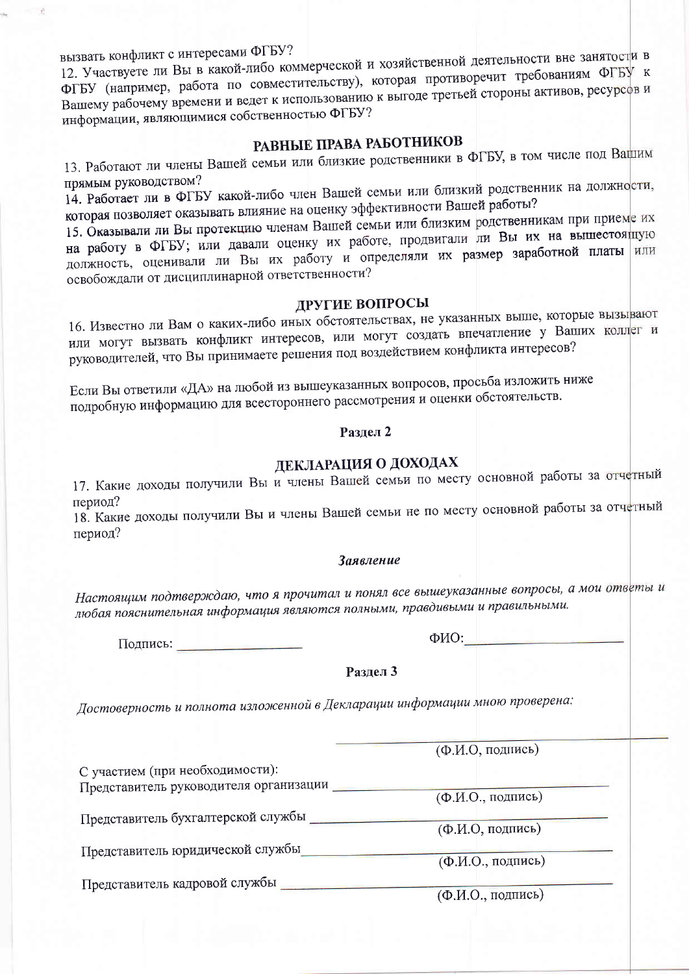вызвать конфликт с интересами ФГБУ?

12. Участвуете ли Вы в какой-либо коммерческой и хозяйственной деятельности вне занятости в ФГБУ (например, работа по совместительству), которая противоречит требованиям ФГБУ к Вашему рабочему времени и ведет к использованию к выгоде третьей стороны активов, ресурсов и информации, являющимися собственностью ФГБУ?

# РАВНЫЕ ПРАВА РАБОТНИКОВ

13. Работают ли члены Вашей семьи или близкие родственники в ФГБУ, в том числе под Вашим прямым руководством?

14. Работает ли в ФГБУ какой-либо член Вашей семьи или близкий родственник на должности, которая позволяет оказывать влияние на оценку эффективности Вашей работы?

15. Оказывали ли Вы протекцию членам Вашей семьи или близким родственникам при приеме их на работу в ФГБУ; или давали оценку их работе, продвигали ли Вы их на вышестоящую должность, оценивали ли Вы их работу и определяли их размер заработной платы или освобождали от дисциплинарной ответственности?

#### ДРУГИЕ ВОПРОСЫ

16. Известно ли Вам о каких-либо иных обстоятельствах, не указанных выше, которые вызывают или могут вызвать конфликт интересов, или могут создать впечатление у Ваших коллег и руководителей, что Вы принимаете решения под воздействием конфликта интересов?

Если Вы ответили «ДА» на любой из вышеуказанных вопросов, просьба изложить ниже подробную информацию для всестороннего рассмотрения и оценки обстоятельств.

#### Разлел 2

# ДЕКЛАРАЦИЯ О ДОХОДАХ

17. Какие доходы получили Вы и члены Вашей семьи по месту основной работы за отчетный период?

18. Какие доходы получили Вы и члены Вашей семьи не по месту основной работы за отчетный период?

#### Заявление

Настоящим подтверждаю, что я прочитал и понял все вышеуказанные вопросы, а мои ответы и любая пояснительная информация являются полными, правдивыми и правильными.

Подпись:

 $\Phi$ ИО:

Раздел 3

Достоверность и полнота изложенной в Декларации информации мною проверена:

(Ф.И.О, подпись) С участием (при необходимости): Представитель руководителя организации (Ф.И.О., подпись) Представитель бухгалтерской службы (Ф.И.О, подпись) Представитель юридической службы\_\_\_\_\_\_\_\_\_\_\_ (Ф.И.О., подпись) Представитель кадровой службы (Ф.И.О., подпись)